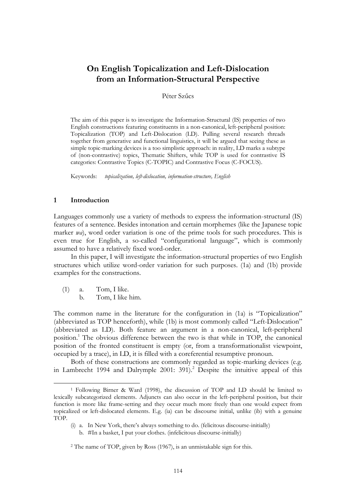# **On English Topicalization and Left-Dislocation from an Information-Structural Perspective**

### Péter Szűcs

The aim of this paper is to investigate the Information-Structural (IS) properties of two English constructions featuring constituents in a non-canonical, left-peripheral position: Topicalization (TOP) and Left-Dislocation (LD). Pulling several research threads together from generative and functional linguistics, it will be argued that seeing these as simple topic-marking devices is a too simplistic approach: in reality, LD marks a subtype of (non-contrastive) topics, Thematic Shifters, while TOP is used for contrastive IS categories: Contrastive Topics (C-TOPIC) and Contrastive Focus (C-FOCUS).

Keywords: *topicalization, left-dislocation, information-structure, English*

### **1 Introduction**

Languages commonly use a variety of methods to express the information-structural (IS) features of a sentence. Besides intonation and certain morphemes (like the Japanese topic marker *wa*), word order variation is one of the prime tools for such procedures. This is even true for English, a so-called "configurational language", which is commonly assumed to have a relatively fixed word-order.

In this paper, I will investigate the information-structural properties of two English structures which utilize word-order variation for such purposes. (1a) and (1b) provide examples for the constructions.

 $(1)$  a. Tom, I like.

 $\overline{a}$ 

b. Tom, I like him.

The common name in the literature for the configuration in (1a) is "Topicalization" (abbreviated as TOP henceforth), while (1b) is most commonly called "Left-Dislocation" (abbreviated as LD). Both feature an argument in a non-canonical, left-peripheral position.<sup>1</sup> The obvious difference between the two is that while in TOP, the canonical position of the fronted constituent is empty (or, from a transformationalist viewpoint, occupied by a trace), in LD, it is filled with a coreferential resumptive pronoun.

Both of these constructions are commonly regarded as topic-marking devices (e.g. in Lambrecht 1994 and Dalrymple 2001: 391).<sup>2</sup> Despite the intuitive appeal of this

<sup>1</sup> Following Birner & Ward (1998), the discussion of TOP and LD should be limited to lexically subcategorized elements. Adjuncts can also occur in the left-peripheral position, but their function is more like frame-setting and they occur much more freely than one would expect from topicalized or left-dislocated elements. E.g. (ia) can be discourse initial, unlike (ib) with a genuine TOP.

<sup>(</sup>i) a. In New York, there"s always something to do. (felicitous discourse-initially)

b. #In a basket, I put your clothes. (infelicitous discourse-initially)

<sup>2</sup> The name of TOP, given by Ross (1967), is an unmistakable sign for this.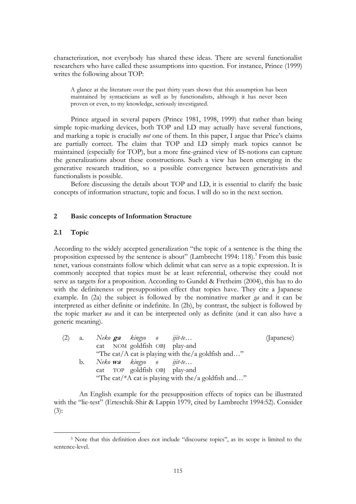characterization, not everybody has shared these ideas. There are several functionalist researchers who have called these assumptions into question. For instance, Prince (1999) writes the following about TOP:

A glance at the literature over the past thirty years shows that this assumption has been maintained by syntacticians as well as by functionalists, although it has never been proven or even, to my knowledge, seriously investigated.

Prince argued in several papers (Prince 1981, 1998, 1999) that rather than being simple topic-marking devices, both TOP and LD may actually have several functions, and marking a topic is crucially *not* one of them. In this paper, I argue that Price"s claims are partially correct. The claim that TOP and LD simply mark topics cannot be maintained (especially for TOP), but a more fine-grained view of IS-notions can capture the generalizations about these constructions. Such a view has been emerging in the generative research tradition, so a possible convergence between generativists and functionalists is possible.

Before discussing the details about TOP and LD, it is essential to clarify the basic concepts of information structure, topic and focus. I will do so in the next section.

### **2 Basic concepts of Information Structure**

### **2.1 Topic**

 $\overline{a}$ 

According to the widely accepted generalization "the topic of a sentence is the thing the proposition expressed by the sentence is about" (Lambrecht 1994:  $118$ ).<sup>3</sup> From this basic tenet, various constraints follow which delimit what can serve as a topic expression. It is commonly accepted that topics must be at least referential, otherwise they could not serve as targets for a proposition. According to Gundel & Fretheim (2004), this has to do with the definiteness or presupposition effect that topics have. They cite a Japanese example. In (2a) the subject is followed by the nominative marker *ga* and it can be interpreted as either definite or indefinite. In (2b), by contrast, the subject is followed by the topic marker *wa* and it can be interpreted only as definite (and it can also have a generic meaning).

| (2) | a. |  | Neko <b>ga</b> kingyo o ijit-te |                                                     | (Japanese) |
|-----|----|--|---------------------------------|-----------------------------------------------------|------------|
|     |    |  |                                 | cat NOM goldfish OBJ play-and                       |            |
|     |    |  |                                 | "The cat/A cat is playing with the/a goldfish and"  |            |
|     | b. |  | Neko <b>wa</b> kingyo o ijit-te |                                                     |            |
|     |    |  |                                 | cat TOP goldfish OBJ play-and                       |            |
|     |    |  |                                 | "The cat/*A cat is playing with the/a goldfish and" |            |

An English example for the presupposition effects of topics can be illustrated with the "lie-test" (Erteschik-Shir & Lappin 1979, cited by Lambrecht 1994:52). Consider  $(3)$ :

<sup>3</sup> Note that this definition does not include "discourse topics", as its scope is limited to the sentence-level.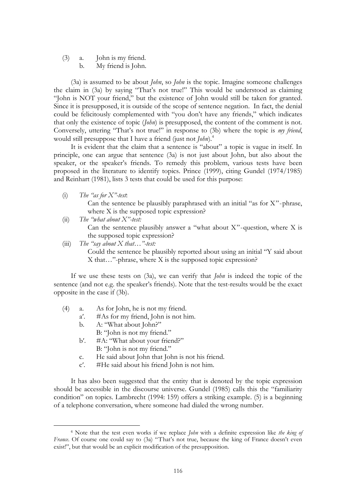(3) a. John is my friend. b. My friend is John.

(3a) is assumed to be about *John*, so *John* is the topic. Imagine someone challenges the claim in (3a) by saying "That's not true!" This would be understood as claiming "John is NOT your friend," but the existence of John would still be taken for granted. Since it is presupposed, it is outside of the scope of sentence negation. In fact, the denial could be felicitously complemented with "you don"t have any friends," which indicates that only the existence of topic (*John*) is presupposed, the content of the comment is not. Conversely, uttering "That's not true!" in response to (3b) where the topic is *my friend*, would still presuppose that I have a friend (just not *John*).<sup>4</sup>

It is evident that the claim that a sentence is "about" a topic is vague in itself. In principle, one can argue that sentence (3a) is not just about John, but also about the speaker, or the speaker's friends. To remedy this problem, various tests have been proposed in the literature to identify topics. Prince (1999), citing Gundel (1974/1985) and Reinhart (1981), lists 3 tests that could be used for this purpose:

(i) *The "as for X"-test*:

Can the sentence be plausibly paraphrased with an initial "as for X"-phrase, where X is the supposed topic expression?

(ii) *The "what about X"-test:*

Can the sentence plausibly answer a "what about  $X$ "-question, where  $X$  is the supposed topic expression?

(iii) *The "say about X that…"-test:* Could the sentence be plausibly reported about using an initial "Y said about X that…"-phrase, where X is the supposed topic expression?

If we use these tests on (3a), we can verify that *John* is indeed the topic of the sentence (and not e.g. the speaker's friends). Note that the test-results would be the exact opposite in the case if (3b).

- (4) a. As for John, he is not my friend.
	- a′. #As for my friend, John is not him.
	- b. A: "What about John?"

 $\overline{a}$ 

- B: "John is not my friend."
- b'. #A: "What about your friend?" B: "John is not my friend."
- c. He said about John that John is not his friend.
- c′. #He said about his friend John is not him.

It has also been suggested that the entity that is denoted by the topic expression should be accessible in the discourse universe. Gundel (1985) calls this the "familiarity condition" on topics. Lambrecht (1994: 159) offers a striking example. (5) is a beginning of a telephone conversation, where someone had dialed the wrong number.

<sup>4</sup> Note that the test even works if we replace *John* with a definite expression like *the king of France*. Of course one could say to (3a) "That's not true, because the king of France doesn't even exist!", but that would be an explicit modification of the presupposition.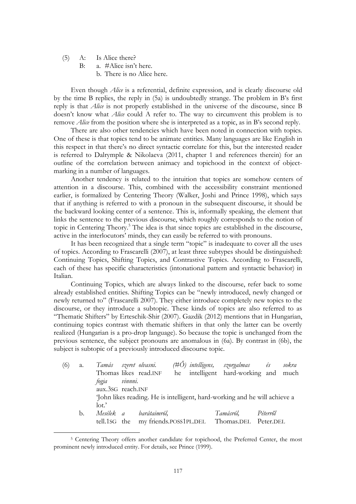(5) A: Is Alice there?

 $\overline{a}$ 

- B: a. #Alice isn't here.
	- b. There is no Alice here.

Even though *Alice* is a referential, definite expression, and is clearly discourse old by the time B replies, the reply in (5a) is undoubtedly strange. The problem in B"s first reply is that *Alice* is not properly established in the universe of the discourse, since B doesn"t know what *Alice* could A refer to. The way to circumvent this problem is to remove *Alice* from the position where she is interpreted as a topic, as in B"s second reply.

There are also other tendencies which have been noted in connection with topics. One of these is that topics tend to be animate entities. Many languages are like English in this respect in that there"s no direct syntactic correlate for this, but the interested reader is referred to Dalrymple & Nikolaeva (2011, chapter 1 and references therein) for an outline of the correlation between animacy and topichood in the context of objectmarking in a number of languages.

Another tendency is related to the intuition that topics are somehow centers of attention in a discourse. This, combined with the accessibility constraint mentioned earlier, is formalized by Centering Theory (Walker, Joshi and Prince 1998), which says that if anything is referred to with a pronoun in the subsequent discourse, it should be the backward looking center of a sentence. This is, informally speaking, the element that links the sentence to the previous discourse, which roughly corresponds to the notion of topic in Centering Theory.<sup>5</sup> The idea is that since topics are established in the discourse, active in the interlocutors" minds, they can easily be referred to with pronouns.

It has been recognized that a single term "topic" is inadequate to cover all the uses of topics. According to Frascarelli (2007), at least three subtypes should be distinguished: Continuing Topics, Shifting Topics, and Contrastive Topics. According to Frascarelli, each of these has specific characteristics (intonational pattern and syntactic behavior) in Italian.

Continuing Topics, which are always linked to the discourse, refer back to some already established entities. Shifting Topics can be "newly introduced, newly changed or newly returned to" (Frascarelli 2007). They either introduce completely new topics to the discourse, or they introduce a subtopic. These kinds of topics are also referred to as "Thematic Shifters" by Erteschik-Shir (2007). Gazdik (2012) mentions that in Hungarian, continuing topics contrast with thematic shifters in that only the latter can be overtly realized (Hungarian is a pro-drop language). So because the topic is unchanged from the previous sentence, the subject pronouns are anomalous in (6a). By contrast in (6b), the subject is subtopic of a previously introduced discourse topic.

| a. |                |  |                                                                                                                |  |  | sokra                                                                                                                                                                                                                                  |
|----|----------------|--|----------------------------------------------------------------------------------------------------------------|--|--|----------------------------------------------------------------------------------------------------------------------------------------------------------------------------------------------------------------------------------------|
|    |                |  |                                                                                                                |  |  |                                                                                                                                                                                                                                        |
|    |                |  |                                                                                                                |  |  |                                                                                                                                                                                                                                        |
|    |                |  |                                                                                                                |  |  |                                                                                                                                                                                                                                        |
|    |                |  |                                                                                                                |  |  |                                                                                                                                                                                                                                        |
|    | $_{\rm lot.'}$ |  |                                                                                                                |  |  |                                                                                                                                                                                                                                        |
| b. |                |  |                                                                                                                |  |  |                                                                                                                                                                                                                                        |
|    |                |  |                                                                                                                |  |  |                                                                                                                                                                                                                                        |
|    |                |  | Tamás szeret olvasni.<br>Thomas likes read.INF<br>fogja vinnni.<br>aux.3sG reach.INF<br>Mesélek a barátaimról, |  |  | (#O) intelligens, szorgalmas és<br>he intelligent hard-working and much<br>John likes reading. He is intelligent, hard-working and he will achieve a<br>Tamásról, Péterről<br>tell.1sG the my friends.POSS1PL.DEL Thomas.DEL Peter.DEL |

<sup>5</sup> Centering Theory offers another candidate for topichood, the Preferred Center, the most prominent newly introduced entity. For details, see Prince (1999).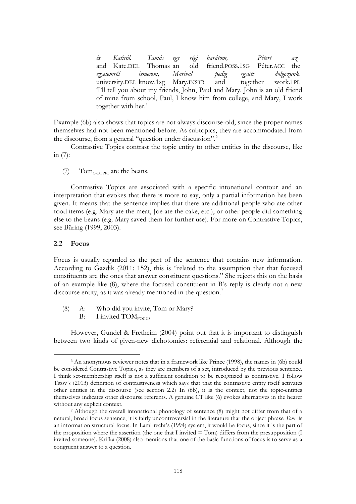*és Katiról. Tamás egy régi barátom, Pétert az* and Kate.DEL Thomas an old friend.POSS.1SG Péter.ACC the *egyetemről ismerem, Marival pedig együtt dolgozunk.* university.DEL know.1sg Mary.INSTR and together work.1PL "I"ll tell you about my friends, John, Paul and Mary. John is an old friend of mine from school, Paul, I know him from college, and Mary, I work together with her.'

Example (6b) also shows that topics are not always discourse-old, since the proper names themselves had not been mentioned before. As subtopics, they are accommodated from the discourse, from a general "question under discussion".<sup>6</sup>

Contrastive Topics contrast the topic entity to other entities in the discourse, like in (7):

(7) Tom $_{C\text{-TOPIC}}$  ate the beans.

Contrastive Topics are associated with a specific intonational contour and an interpretation that evokes that there is more to say, only a partial information has been given. It means that the sentence implies that there are additional people who ate other food items (e.g. Mary ate the meat, Joe ate the cake, etc.), or other people did something else to the beans (e.g. Mary saved them for further use). For more on Contrastive Topics, see Büring (1999, 2003).

#### **2.2 Focus**

 $\overline{a}$ 

Focus is usually regarded as the part of the sentence that contains new information. According to Gazdik (2011: 152), this is "related to the assumption that that focused constituents are the ones that answer constituent questions." She rejects this on the basis of an example like (8), where the focused constituent in B"s reply is clearly not a new discourse entity, as it was already mentioned in the question.<sup>7</sup>

- (8) A: Who did you invite, Tom or Mary?
	- $B: I$  invited  $TOM<sub>FOCUS</sub>$

However, Gundel & Fretheim (2004) point out that it is important to distinguish between two kinds of given-new dichotomies: referential and relational. Although the

<sup>6</sup> An anonymous reviewer notes that in a framework like Prince (1998), the names in (6b) could be considered Contrastive Topics, as they are members of a set, introduced by the previous sentence. I think set-membership itself is not a sufficient condition to be recognized as contrastive. I follow Titov"s (2013) definition of contrastiveness which says that that the contrastive entity itself activates other entities in the discourse (see section 2.2) In (6b), it is the context, not the topic-entities themselves indicates other discourse referents. A genuine CT like (6) evokes alternatives in the hearer without any explicit context.

<sup>7</sup> Although the overall intonational phonology of sentence (8) might not differ from that of a netural, broad focus sentence, it is fairly uncontroversial in the literature that the object phrase *Tom* is an information structural focus. In Lambrecht"s (1994) system, it would be focus, since it is the part of the proposition where the assertion (the one that I invited  $=$  Tom) differs from the presupposition (I invited someone). Krifka (2008) also mentions that one of the basic functions of focus is to serve as a congruent answer to a question.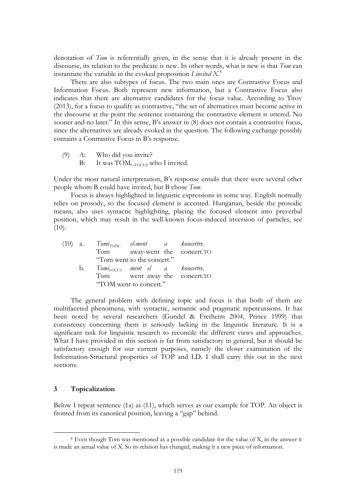denotation of *Tom* is referentially given, in the sense that it is already present in the discourse, its relation to the predicate is new. In other words, what is new is that *Tom* can instantiate the variable in the evoked proposition *I invited X*. 8

There are also subtypes of focus. The two main ones are Contrastive Focus and Information Focus. Both represent new information, but a Contrastive Focus also indicates that there are alternative candidates for the focus value. According to Titov (2013), for a focus to qualify as contrastive, "the set of alternatives must become active in the discourse at the point the sentence containing the contrastive element is uttered. No sooner and no later." In this sense, B's answer in  $(8)$  does not contain a contrastive focus, since the alternatives are already evoked in the question. The following exchange possibly contains a Contrastive Focus in B"s response.

- (9) A: Who did you invite?
	- B: It was  $TOM_{C\text{-FOCUS}}$  who I invited.

Under the most natural interpretation, B"s response entails that there were several other people whom B could have invited, but B chose *Tom*.

Focus is always highlighted in linguistic expressions in some way. English normally relies on prosody, so the focused element is accented. Hungarian, beside the prosodic means, also uses syntactic highlighting, placing the focused element into preverbal position, which may result in the well-known focus-induced inversion of particles, see  $(10).$ 

|  | (10) a. $Tom_{TOPIC}$ el-ment a koncertre.    |                               |  |
|--|-----------------------------------------------|-------------------------------|--|
|  |                                               | Tom away-went the concert.TO  |  |
|  |                                               | "Tom went to the concert."    |  |
|  | b. Tomi <sub>FOCUS</sub> ment el a koncertre. |                               |  |
|  |                                               | Tom went away the concert. TO |  |
|  |                                               | "TOM went to concert."        |  |

The general problem with defining topic and focus is that both of them are multifaceted phenomena, with syntactic, semantic and pragmatic repercussions. It has been noted by several researchers (Gundel & Fretheim 2004, Prince 1999) that consistency concerning them is seriously lacking in the linguistic literature. It is a significant task for linguistic research to reconcile the different views and approaches. What I have provided in this section is far from satisfactory in general, but it should be satisfactory enough for our current purposes, namely the closer examination of the Information-Structural properties of TOP and LD. I shall carry this out in the next sections.

## **3 Topicalization**

 $\overline{a}$ 

Below I repeat sentence (1a) as (11), which serves as our example for TOP. An object is fronted from its canonical position, leaving a "gap" behind.

<sup>8</sup> Even though Tom was mentioned as a possible candidate for the value of X, in the answer it is made an actual value of X. So its relation has changed, making it a new piece of information.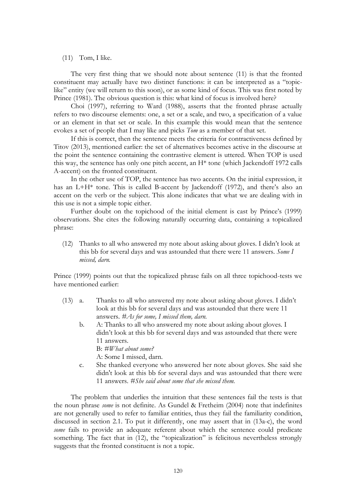#### $(11)$  Tom, I like.

The very first thing that we should note about sentence (11) is that the fronted constituent may actually have two distinct functions: it can be interpreted as a "topiclike" entity (we will return to this soon), or as some kind of focus. This was first noted by Prince (1981). The obvious question is this: what kind of focus is involved here?

Choi (1997), referring to Ward (1988), asserts that the fronted phrase actually refers to two discourse elements: one, a set or a scale, and two, a specification of a value or an element in that set or scale. In this example this would mean that the sentence evokes a set of people that I may like and picks *Tom* as a member of that set.

If this is correct, then the sentence meets the criteria for contractiveness defined by Titov (2013), mentioned earlier: the set of alternatives becomes active in the discourse at the point the sentence containing the contrastive element is uttered. When TOP is used this way, the sentence has only one pitch accent, an H\* tone (which Jackendoff 1972 calls A-accent) on the fronted constituent.

In the other use of TOP, the sentence has two accents. On the initial expression, it has an  $L+H^*$  tone. This is called B-accent by Jackendoff (1972), and there's also an accent on the verb or the subject. This alone indicates that what we are dealing with in this use is not a simple topic either.

Further doubt on the topichood of the initial element is cast by Prince's (1999) observations. She cites the following naturally occurring data, containing a topicalized phrase:

(12) Thanks to all who answered my note about asking about gloves. I didn"t look at this bb for several days and was astounded that there were 11 answers. *Some I missed, darn.*

Prince (1999) points out that the topicalized phrase fails on all three topichood-tests we have mentioned earlier:

- (13) a. Thanks to all who answered my note about asking about gloves. I didn"t look at this bb for several days and was astounded that there were 11 answers. *#As for some, I missed them, darn.*
	- b. A: Thanks to all who answered my note about asking about gloves. I didn"t look at this bb for several days and was astounded that there were 11 answers. B: *#What about some?*
		- A: Some I missed, darn.
	- c. She thanked everyone who answered her note about gloves. She said she didn't look at this bb for several days and was astounded that there were 11 answers. *#She said about some that she missed them.*

The problem that underlies the intuition that these sentences fail the tests is that the noun phrase *some* is not definite. As Gundel & Fretheim (2004) note that indefinites are not generally used to refer to familiar entities, thus they fail the familiarity condition, discussed in section 2.1. To put it differently, one may assert that in (13a-c), the word *some* fails to provide an adequate referent about which the sentence could predicate something. The fact that in (12), the "topicalization" is felicitous nevertheless strongly suggests that the fronted constituent is not a topic.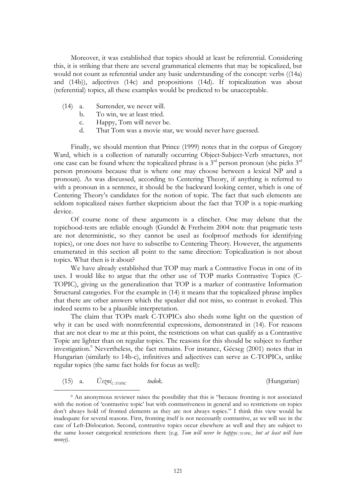Moreover, it was established that topics should at least be referential. Considering this, it is striking that there are several grammatical elements that may be topicalized, but would not count as referential under any basic understanding of the concept: verbs ((14a) and (14b)), adjectives (14c) and propositions (14d). If topicalization was about (referential) topics, all these examples would be predicted to be unacceptable.

(14) a. Surrender, we never will.

 $\overline{a}$ 

- b. To win, we at least tried.
- c. Happy, Tom will never be.
- d. That Tom was a movie star, we would never have guessed.

Finally, we should mention that Prince (1999) notes that in the corpus of Gregory Ward, which is a collection of naturally occurring Object-Subject-Verb structures, not one case can be found where the topicalized phrase is a  $3<sup>rd</sup>$  person pronoun (she picks  $3<sup>rd</sup>$ person pronouns because that is where one may choose between a lexical NP and a pronoun). As was discussed, according to Centering Theory, if anything is referred to with a pronoun in a sentence, it should be the backward looking center, which is one of Centering Theory"s candidates for the notion of topic. The fact that such elements are seldom topicalized raises further skepticism about the fact that TOP is a topic-marking device.

Of course none of these arguments is a clincher. One may debate that the topichood-tests are reliable enough (Gundel & Fretheim 2004 note that pragmatic tests are not deterministic, so they cannot be used as foolproof methods for identifying topics), or one does not have to subscribe to Centering Theory. However, the arguments enumerated in this section all point to the same direction: Topicalization is not about topics. What then is it about?

We have already established that TOP may mark a Contrastive Focus in one of its uses. I would like to argue that the other use of TOP marks Contrastive Topics (C-TOPIC), giving us the generalization that TOP is a marker of contrastive Information Structural categories. For the example in (14) it means that the topicalized phrase implies that there are other answers which the speaker did not miss, so contrast is evoked. This indeed seems to be a plausible interpretation.

The claim that TOPs mark C-TOPICs also sheds some light on the question of why it can be used with nonreferential expressions, demonstrated in (14). For reasons that are not clear to me at this point, the restrictions on what can qualify as a Contrastive Topic are lighter than on regular topics. The reasons for this should be subject to further investigation. <sup>9</sup> Nevertheless, the fact remains. For instance, Gécseg (2001) notes that in Hungarian (similarly to 14b-c), infinitives and adjectives can serve as C-TOPICs, unlike regular topics (the same fact holds for focus as well):

| $(15)$ a. |  | $U_{s2}$ ni <sub>C-TOPIC</sub> | tudok. |  | (Hungarian) |
|-----------|--|--------------------------------|--------|--|-------------|
|-----------|--|--------------------------------|--------|--|-------------|

<sup>9</sup> An anonymous reviewer raises the possibility that this is "because fronting is not associated with the notion of 'contrastive topic' but with contrastiveness in general and so restrictions on topics don"t always hold of fronted elements as they are not always topics." I think this view would be inadequate for several reasons. First, fronting itself is not necessarily contrastive, as we will see in the case of Left-Dislocation. Second, contrastive topics occur elsewhere as well and they are subject to the same looser categorical restrictions there (e.g. Tom will never be happy<sub>C-TOPIC</sub>, but at least will have *money*).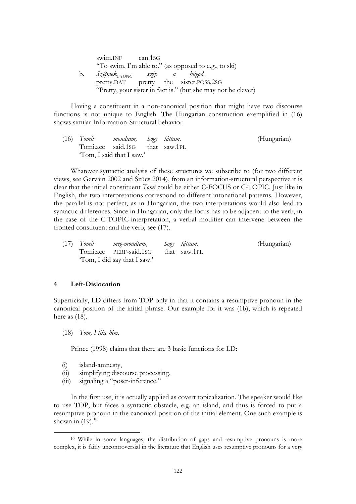| swim.INF can.1SG                            |  |                                                               |  |
|---------------------------------------------|--|---------------------------------------------------------------|--|
|                                             |  | "To swim, I'm able to." (as opposed to e.g., to ski)          |  |
| b. Szépnek <sub>c-TOPIC</sub> szép a húgod. |  |                                                               |  |
|                                             |  | pretty.DAT pretty the sister.POSS.2SG                         |  |
|                                             |  | "Pretty, your sister in fact is." (but she may not be clever) |  |

Having a constituent in a non-canonical position that might have two discourse functions is not unique to English. The Hungarian construction exemplified in (16) shows similar Information-Structural behavior.

| $(16)$ Tomit | mondtam,      hogy    láttam.  |  | (Hungarian) |
|--------------|--------------------------------|--|-------------|
|              | Tomi.acc said.1sG that saw.1PL |  |             |
|              | "Tom, I said that I saw."      |  |             |

Whatever syntactic analysis of these structures we subscribe to (for two different views, see Gervain 2002 and Szűcs 2014), from an information-structural perspective it is clear that the initial constituent *Tomi* could be either C-FOCUS or C-TOPIC. Just like in English, the two interpretations correspond to different intonational patterns. However, the parallel is not perfect, as in Hungarian, the two interpretations would also lead to syntactic differences. Since in Hungarian, only the focus has to be adjacent to the verb, in the case of the C-TOPIC-interpretation, a verbal modifier can intervene between the fronted constituent and the verb, see (17).

| $(17)$ Tomit | meg-mondtam,            hogy     láttam. |              | (Hungarian) |
|--------------|------------------------------------------|--------------|-------------|
|              | Tomi.acc PERF-said.1SG                   | that saw.1PL |             |
|              | "Tom, I did say that I saw."             |              |             |

#### **4 Left-Dislocation**

Superficially, LD differs from TOP only in that it contains a resumptive pronoun in the canonical position of the initial phrase. Our example for it was (1b), which is repeated here as (18).

(18) *Tom, I like him.*

Prince (1998) claims that there are 3 basic functions for LD:

(i) island-amnesty,

 $\overline{a}$ 

- (ii) simplifying discourse processing,
- (iii) signaling a "poset-inference."

In the first use, it is actually applied as covert topicalization. The speaker would like to use TOP, but faces a syntactic obstacle, e.g. an island, and thus is forced to put a resumptive pronoun in the canonical position of the initial element. One such example is shown in  $(19).^{10}$ 

<sup>10</sup> While in some languages, the distribution of gaps and resumptive pronouns is more complex, it is fairly uncontroversial in the literature that English uses resumptive pronouns for a very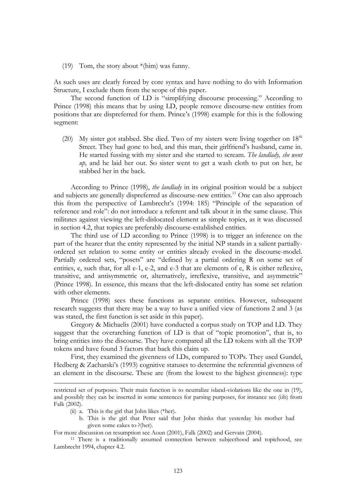(19) Tom, the story about \*(him) was funny.

As such uses are clearly forced by core syntax and have nothing to do with Information Structure, I exclude them from the scope of this paper.

The second function of LD is "simplifying discourse processing." According to Prince (1998) this means that by using LD, people remove discourse-new entities from positions that are dispreferred for them. Prince"s (1998) example for this is the following segment:

(20) My sister got stabbed. She died. Two of my sisters were living together on  $18<sup>th</sup>$ Street. They had gone to bed, and this man, their girlfriend"s husband, came in. He started fussing with my sister and she started to scream. *The landlady, she went up,* and he laid her out. So sister went to get a wash cloth to put on her, he stabbed her in the back.

According to Prince (1998), *the landlady* in its original position would be a subject and subjects are generally dispreferred as discourse-new entities.<sup>11</sup> One can also approach this from the perspective of Lambrecht's (1994: 185) "Principle of the separation of reference and role": do not introduce a referent and talk about it in the same clause. This militates against viewing the left-dislocated element as simple topics, as it was discussed in section 4.2, that topics are preferably discourse-established entities.

The third use of LD according to Prince (1998) is to trigger an inference on the part of the hearer that the entity represented by the initial NP stands in a salient partiallyordered set relation to some entity or entities already evoked in the discourse-model. Partially ordered sets, "posets" are "defined by a partial ordering R on some set of entities, e, such that, for all e-1, e-2, and e-3 that are elements of e, R is either reflexive, transitive, and antisymmetric or, alternatively, irreflexive, transitive, and asymmetric" (Prince 1998). In essence, this means that the left-dislocated entity has some set relation with other elements.

Prince (1998) sees these functions as separate entities. However, subsequent research suggests that there may be a way to have a unified view of functions 2 and 3 (as was stated, the first function is set aside in this paper).

Gregory & Michaelis (2001) have conducted a corpus study on TOP and LD. They suggest that the overarching function of LD is that of "topic promotion", that is, to bring entities into the discourse. They have compared all the LD tokens with all the TOP tokens and have found 3 factors that back this claim up.

First, they examined the givenness of LDs, compared to TOPs. They used Gundel, Hedberg & Zacharski's (1993) cognitive statuses to determine the referential givenness of an element in the discourse. These are (from the lowest to the highest givenness): type

(ii) a. This is the girl that John likes (\*her).

<u>.</u>

b. This is the girl that Peter said that John thinks that yesterday his mother had given some cakes to ?(her).

For more discussion on resumption see Aoun (2001), Falk (2002) and Gervain (2004).

<sup>11</sup> There is a traditionally assumed connection between subjecthood and topichood, see Lambrecht 1994, chapter 4.2.

restricted set of purposes. Their main function is to neutralize island-violations like the one in (19), and possibly they can be inserted in some sentences for parsing purposes, for instance see (iib) from Falk (2002).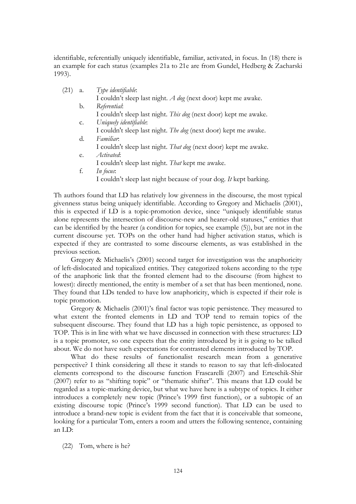identifiable, referentially uniquely identifiable, familiar, activated, in focus. In (18) there is an example for each status (examples 21a to 21e are from Gundel, Hedberg & Zacharski 1993).

| (21) | a. | Type identifiable:                                                |
|------|----|-------------------------------------------------------------------|
|      |    | I couldn't sleep last night. A dog (next door) kept me awake.     |
|      | b. | Referential:                                                      |
|      |    | I couldn't sleep last night. This dog (next door) kept me awake.  |
|      | c. | Uniquely identifiable:                                            |
|      |    | I couldn't sleep last night. The dog (next door) kept me awake.   |
|      | d. | <i><u>Familiar</u></i>                                            |
|      |    | I couldn't sleep last night. That dog (next door) kept me awake.  |
|      | e. | <i>Activated</i> :                                                |
|      |    | I couldn't sleep last night. That kept me awake.                  |
|      | f. | In focus:                                                         |
|      |    | I couldn't sleep last night because of your dog. It kept barking. |
|      |    |                                                                   |

Th authors found that LD has relatively low givenness in the discourse, the most typical givenness status being uniquely identifiable. According to Gregory and Michaelis (2001), this is expected if LD is a topic-promotion device, since "uniquely identifiable status alone represents the intersection of discourse-new and hearer-old statuses," entities that can be identified by the hearer (a condition for topics, see example (5)), but are not in the current discourse yet. TOPs on the other hand had higher activation status, which is expected if they are contrasted to some discourse elements, as was established in the previous section.

Gregory & Michaelis"s (2001) second target for investigation was the anaphoricity of left-dislocated and topicalized entities. They categorized tokens according to the type of the anaphoric link that the fronted element had to the discourse (from highest to lowest): directly mentioned, the entity is member of a set that has been mentioned, none. They found that LDs tended to have low anaphoricity, which is expected if their role is topic promotion.

Gregory & Michaelis (2001)"s final factor was topic persistence. They measured to what extent the fronted elements in LD and TOP tend to remain topics of the subsequent discourse. They found that LD has a high topic persistence, as opposed to TOP. This is in line with what we have discussed in connection with these structures: LD is a topic promoter, so one expects that the entity introduced by it is going to be talked about. We do not have such expectations for contrasted elements introduced by TOP.

What do these results of functionalist research mean from a generative perspective? I think considering all these it stands to reason to say that left-dislocated elements correspond to the discourse function Frascarelli (2007) and Erteschik-Shir (2007) refer to as "shifting topic" or "thematic shifter". This means that LD could be regarded as a topic-marking device, but what we have here is a subtype of topics. It either introduces a completely new topic (Prince's 1999 first function), or a subtopic of an existing discourse topic (Prince's 1999 second function). That LD can be used to introduce a brand-new topic is evident from the fact that it is conceivable that someone, looking for a particular Tom, enters a room and utters the following sentence, containing an LD:

(22) Tom, where is he?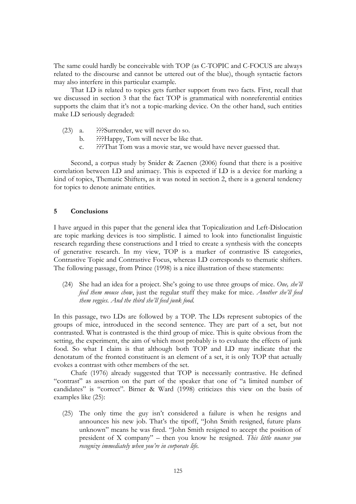The same could hardly be conceivable with TOP (as C-TOPIC and C-FOCUS are always related to the discourse and cannot be uttered out of the blue), though syntactic factors may also interfere in this particular example.

That LD is related to topics gets further support from two facts. First, recall that we discussed in section 3 that the fact TOP is grammatical with nonreferential entities supports the claim that it's not a topic-marking device. On the other hand, such entities make LD seriously degraded:

- (23) a. ???Surrender, we will never do so.
	- b. ???Happy, Tom will never be like that.
	- c. ???That Tom was a movie star, we would have never guessed that.

Second, a corpus study by Snider & Zaenen (2006) found that there is a positive correlation between LD and animacy. This is expected if LD is a device for marking a kind of topics, Thematic Shifters, as it was noted in section 2, there is a general tendency for topics to denote animate entities.

#### **5 Conclusions**

I have argued in this paper that the general idea that Topicalization and Left-Dislocation are topic marking devices is too simplistic. I aimed to look into functionalist linguistic research regarding these constructions and I tried to create a synthesis with the concepts of generative research. In my view, TOP is a marker of contrastive IS categories, Contrastive Topic and Contrastive Focus, whereas LD corresponds to thematic shifters. The following passage, from Prince (1998) is a nice illustration of these statements:

(24) She had an idea for a project. She"s going to use three groups of mice. *One, she'll feed them mouse chow*, just the regular stuff they make for mice. *Another she'll feed them veggies. And the third she'll feed junk food.*

In this passage, two LDs are followed by a TOP. The LDs represent subtopics of the groups of mice, introduced in the second sentence. They are part of a set, but not contrasted. What is contrasted is the third group of mice. This is quite obvious from the setting, the experiment, the aim of which most probably is to evaluate the effects of junk food. So what I claim is that although both TOP and LD may indicate that the denotatum of the fronted constituent is an element of a set, it is only TOP that actually evokes a contrast with other members of the set.

Chafe (1976) already suggested that TOP is necessarily contrastive. He defined "contrast" as assertion on the part of the speaker that one of "a limited number of candidates" is "correct". Birner & Ward (1998) criticizes this view on the basis of examples like (25):

(25) The only time the guy isn"t considered a failure is when he resigns and announces his new job. That's the tipoff, "John Smith resigned, future plans unknown" means he was fired. "John Smith resigned to accept the position of president of X company" – then you know he resigned. *This little nuance you recognize immediately when you're in corporate life.*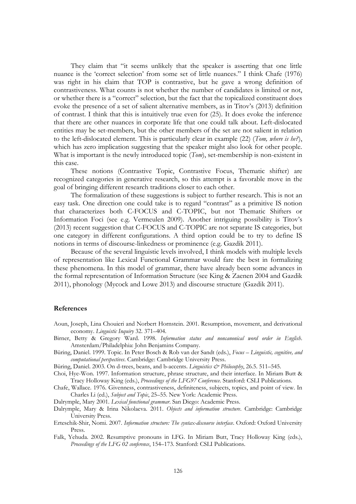They claim that "it seems unlikely that the speaker is asserting that one little nuance is the "correct selection" from some set of little nuances." I think Chafe (1976) was right in his claim that TOP is contrastive, but he gave a wrong definition of contrastiveness. What counts is not whether the number of candidates is limited or not, or whether there is a "correct" selection, but the fact that the topicalized constituent does evoke the presence of a set of salient alternative members, as in Titov's (2013) definition of contrast. I think that this is intuitively true even for (25). It does evoke the inference that there are other nuances in corporate life that one could talk about. Left-dislocated entities may be set-members, but the other members of the set are not salient in relation to the left-dislocated element. This is particularly clear in example (22) (*Tom, where is he?*), which has zero implication suggesting that the speaker might also look for other people. What is important is the newly introduced topic (*Tom*), set-membership is non-existent in this case.

These notions (Contrastive Topic, Contrastive Focus, Thematic shifter) are recognized categories in generative research, so this attempt is a favorable move in the goal of bringing different research traditions closer to each other.

The formalization of these suggestions is subject to further research. This is not an easy task. One direction one could take is to regard "contrast" as a primitive IS notion that characterizes both C-FOCUS and C-TOPIC, but not Thematic Shifters or Information Foci (see e.g. Vermeulen 2009). Another intriguing possibility is Titov"s (2013) recent suggestion that C-FOCUS and C-TOPIC are not separate IS categories, but one category in different configurations. A third option could be to try to define IS notions in terms of discourse-linkedness or prominence (e.g. Gazdik 2011).

Because of the several linguistic levels involved, I think models with multiple levels of representation like Lexical Functional Grammar would fare the best in formalizing these phenomena. In this model of grammar, there have already been some advances in the formal representation of Information Structure (see King & Zaenen 2004 and Gazdik 2011), phonology (Mycock and Lowe 2013) and discourse structure (Gazdik 2011).

#### **References**

- Aoun, Joseph, Lina Chouieri and Norbert Hornstein. 2001. Resumption, movement, and derivational economy. *Linguistic Inquiry* 32. 371*–*404.
- Birner, Betty & Gregory Ward. 1998. *Information status and noncanonical word order in English*. Amsterdam/Philadelphia: John Benjamins Company.
- Büring, Daniel. 1999. Topic. In Peter Bosch & Rob van der Sandt (eds.), *Focus – Linguistic, cognitive, and computational perspectives*. Cambridge: Cambridge University Press.
- Büring, Daniel. 2003. On d-trees, beans, and b-accents. *Linguistics & Philosophy*, 26.5. 511–545.
- Choi, Hye-Won. 1997. Information structure, phrase structure, and their interface. In Miriam Butt & Tracy Holloway King (eds.), *Proceedings of the LFG97 Conference*. Stanford: CSLI Publications.
- Chafe, Wallace. 1976. Givenness, contrastiveness, definiteness, subjects, topics, and point of view. In Charles Li (ed.), *Subject and Topic*, 25*–*55. New York: Academic Press.
- Dalrymple, Mary 2001. *Lexical functional grammar*. San Diego: Academic Press.
- Dalrymple, Mary & Irina Nikolaeva. 2011. *Objects and information structure*. Cambridge: Cambridge University Press.
- Erteschik-Shir, Nomi. 2007. *Information structure: The syntax-discourse interface*. Oxford: Oxford University Press.
- Falk, Yehuda. 2002. Resumptive pronouns in LFG. In Miriam Butt, Tracy Holloway King (eds.), *Proceedings of the LFG 02 conference*, 154*–*173. Stanford: CSLI Publications.